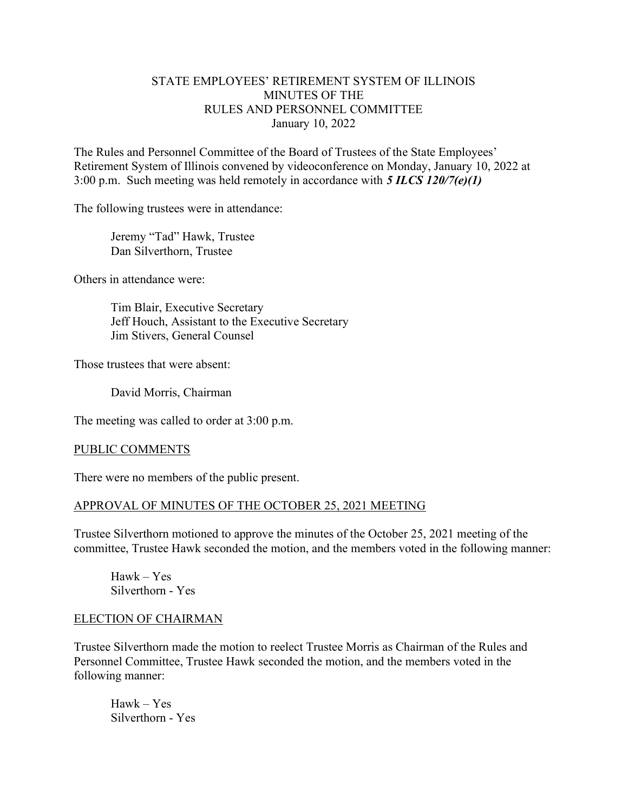# STATE EMPLOYEES' RETIREMENT SYSTEM OF ILLINOIS MINUTES OF THE RULES AND PERSONNEL COMMITTEE January 10, 2022

The Rules and Personnel Committee of the Board of Trustees of the State Employees' Retirement System of Illinois convened by videoconference on Monday, January 10, 2022 at 3:00 p.m. Such meeting was held remotely in accordance with  $5$  ILCS 120/7(e)(1)

The following trustees were in attendance:

 Jeremy "Tad" Hawk, Trustee Dan Silverthorn, Trustee

Others in attendance were:

 Tim Blair, Executive Secretary Jeff Houch, Assistant to the Executive Secretary Jim Stivers, General Counsel

Those trustees that were absent:

David Morris, Chairman

The meeting was called to order at 3:00 p.m.

### PUBLIC COMMENTS

There were no members of the public present.

# APPROVAL OF MINUTES OF THE OCTOBER 25, 2021 MEETING

Trustee Silverthorn motioned to approve the minutes of the October 25, 2021 meeting of the committee, Trustee Hawk seconded the motion, and the members voted in the following manner:

Hawk – Yes Silverthorn - Yes

### ELECTION OF CHAIRMAN

Trustee Silverthorn made the motion to reelect Trustee Morris as Chairman of the Rules and Personnel Committee, Trustee Hawk seconded the motion, and the members voted in the following manner:

 Hawk – Yes Silverthorn - Yes